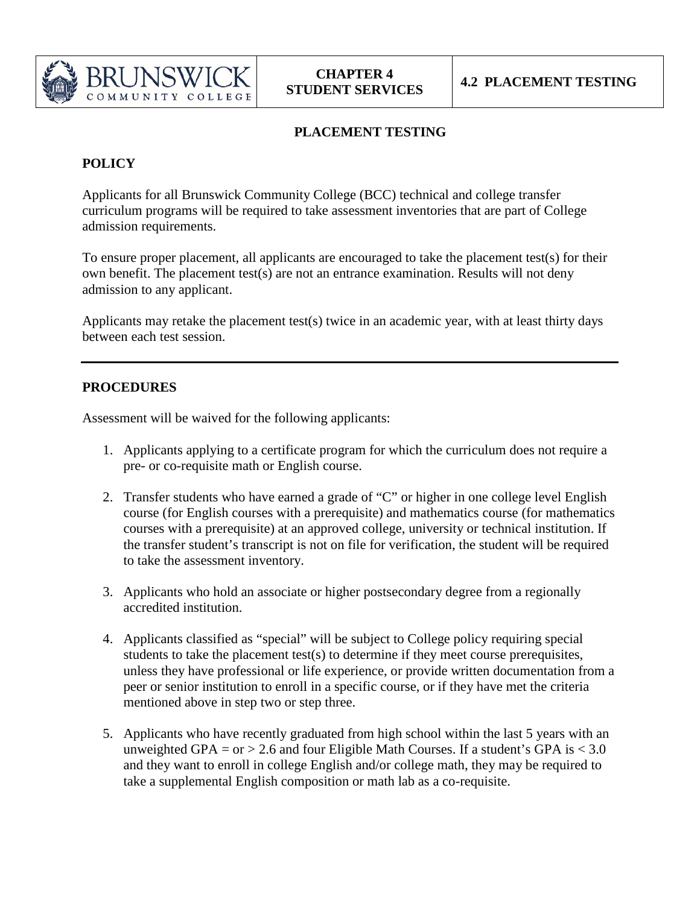

## **PLACEMENT TESTING**

## **POLICY**

Applicants for all Brunswick Community College (BCC) technical and college transfer curriculum programs will be required to take assessment inventories that are part of College admission requirements.

To ensure proper placement, all applicants are encouraged to take the placement test(s) for their own benefit. The placement test(s) are not an entrance examination. Results will not deny admission to any applicant.

Applicants may retake the placement test(s) twice in an academic year, with at least thirty days between each test session.

## **PROCEDURES**

Assessment will be waived for the following applicants:

- 1. Applicants applying to a certificate program for which the curriculum does not require a pre- or co-requisite math or English course.
- 2. Transfer students who have earned a grade of "C" or higher in one college level English course (for English courses with a prerequisite) and mathematics course (for mathematics courses with a prerequisite) at an approved college, university or technical institution. If the transfer student's transcript is not on file for verification, the student will be required to take the assessment inventory.
- 3. Applicants who hold an associate or higher postsecondary degree from a regionally accredited institution.
- 4. Applicants classified as "special" will be subject to College policy requiring special students to take the placement test(s) to determine if they meet course prerequisites, unless they have professional or life experience, or provide written documentation from a peer or senior institution to enroll in a specific course, or if they have met the criteria mentioned above in step two or step three.
- 5. Applicants who have recently graduated from high school within the last 5 years with an unweighted GPA = or > 2.6 and four Eligible Math Courses. If a student's GPA is  $< 3.0$ and they want to enroll in college English and/or college math, they may be required to take a supplemental English composition or math lab as a co-requisite.